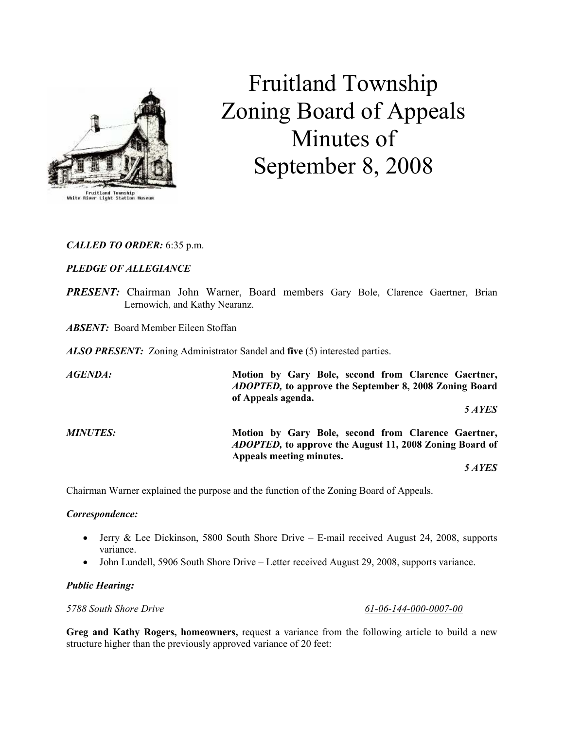

# Fruitland Township Zoning Board of Appeals Minutes of September 8, 2008

# CALLED TO ORDER: 6:35 p.m.

# PLEDGE OF ALLEGIANCE

PRESENT: Chairman John Warner, Board members Gary Bole, Clarence Gaertner, Brian Lernowich, and Kathy Nearanz.

ABSENT: Board Member Eileen Stoffan

ALSO PRESENT: Zoning Administrator Sandel and five (5) interested parties.

AGENDA: Motion by Gary Bole, second from Clarence Gaertner, ADOPTED, to approve the September 8, 2008 Zoning Board of Appeals agenda. 5 AYES MINUTES: Motion by Gary Bole, second from Clarence Gaertner, ADOPTED, to approve the August 11, 2008 Zoning Board of Appeals meeting minutes.

5 AYES

Chairman Warner explained the purpose and the function of the Zoning Board of Appeals.

#### Correspondence:

- Jerry & Lee Dickinson, 5800 South Shore Drive E-mail received August 24, 2008, supports variance.
- John Lundell, 5906 South Shore Drive Letter received August 29, 2008, supports variance.

## Public Hearing:

5788 South Shore Drive 61-06-144-000-0007-00

Greg and Kathy Rogers, homeowners, request a variance from the following article to build a new structure higher than the previously approved variance of 20 feet: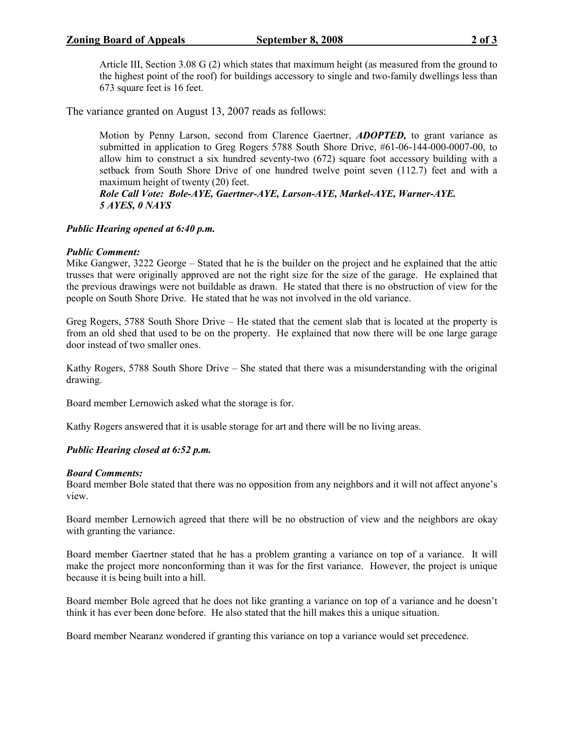## **Zoning Board of Appeals September 8, 2008** 2 of 3

Article III, Section 3.08 G (2) which states that maximum height (as measured from the ground to the highest point of the roof) for buildings accessory to single and two-family dwellings less than 673 square feet is 16 feet.

The variance granted on August 13, 2007 reads as follows:

Motion by Penny Larson, second from Clarence Gaertner, **ADOPTED**, to grant variance as submitted in application to Greg Rogers 5788 South Shore Drive, #61-06-144-000-0007-00, to allow him to construct a six hundred seventy-two (672) square foot accessory building with a setback from South Shore Drive of one hundred twelve point seven (112.7) feet and with a maximum height of twenty (20) feet.

Role Call Vote: Bole-AYE, Gaertner-AYE, Larson-AYE, Markel-AYE, Warner-AYE. 5 AYES, 0 NAYS

#### Public Hearing opened at 6:40 p.m.

#### Public Comment:

Mike Gangwer, 3222 George – Stated that he is the builder on the project and he explained that the attic trusses that were originally approved are not the right size for the size of the garage. He explained that the previous drawings were not buildable as drawn. He stated that there is no obstruction of view for the people on South Shore Drive. He stated that he was not involved in the old variance.

Greg Rogers, 5788 South Shore Drive – He stated that the cement slab that is located at the property is from an old shed that used to be on the property. He explained that now there will be one large garage door instead of two smaller ones.

Kathy Rogers, 5788 South Shore Drive – She stated that there was a misunderstanding with the original drawing.

Board member Lernowich asked what the storage is for.

Kathy Rogers answered that it is usable storage for art and there will be no living areas.

## Public Hearing closed at 6:52 p.m.

#### Board Comments:

Board member Bole stated that there was no opposition from any neighbors and it will not affect anyone's view.

Board member Lernowich agreed that there will be no obstruction of view and the neighbors are okay with granting the variance.

Board member Gaertner stated that he has a problem granting a variance on top of a variance. It will make the project more nonconforming than it was for the first variance. However, the project is unique because it is being built into a hill.

Board member Bole agreed that he does not like granting a variance on top of a variance and he doesn't think it has ever been done before. He also stated that the hill makes this a unique situation.

Board member Nearanz wondered if granting this variance on top a variance would set precedence.